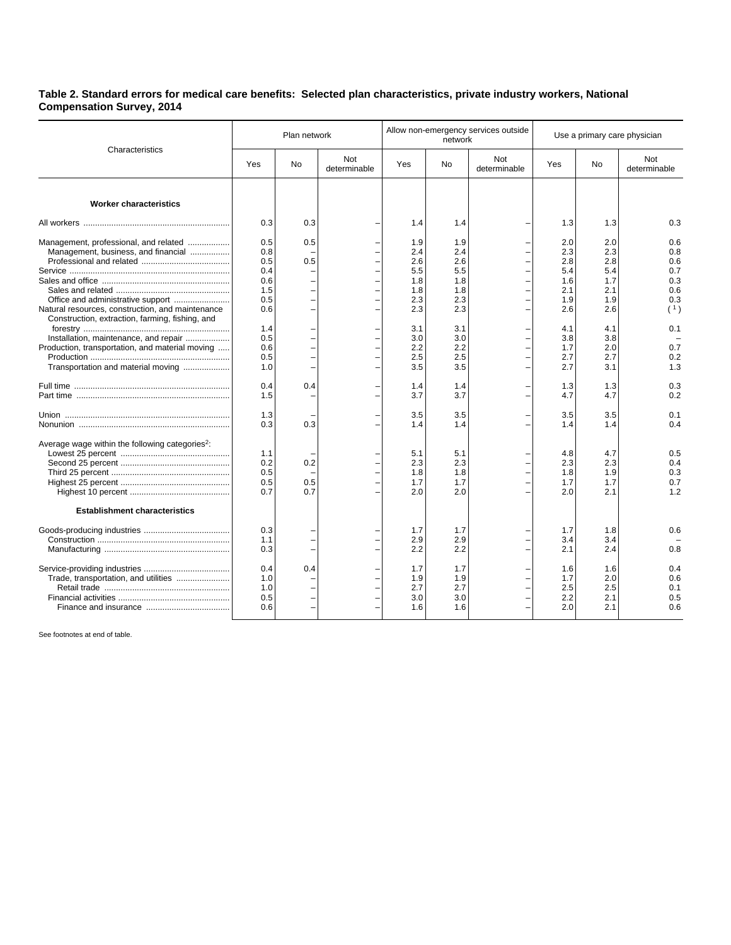## **Table 2. Standard errors for medical care benefits: Selected plan characteristics, private industry workers, National Compensation Survey, 2014**

| Characteristics                                                                                                                                                                                                                                                                 | Plan network                                                                     |                   |                     | Allow non-emergency services outside<br>network                                  |                                                                                  |                     | Use a primary care physician                                                     |                                                                                  |                                                                           |
|---------------------------------------------------------------------------------------------------------------------------------------------------------------------------------------------------------------------------------------------------------------------------------|----------------------------------------------------------------------------------|-------------------|---------------------|----------------------------------------------------------------------------------|----------------------------------------------------------------------------------|---------------------|----------------------------------------------------------------------------------|----------------------------------------------------------------------------------|---------------------------------------------------------------------------|
|                                                                                                                                                                                                                                                                                 | Yes                                                                              | No                | Not<br>determinable | Yes                                                                              | <b>No</b>                                                                        | Not<br>determinable | Yes                                                                              | <b>No</b>                                                                        | Not<br>determinable                                                       |
| <b>Worker characteristics</b>                                                                                                                                                                                                                                                   |                                                                                  |                   |                     |                                                                                  |                                                                                  |                     |                                                                                  |                                                                                  |                                                                           |
|                                                                                                                                                                                                                                                                                 | 0.3                                                                              | 0.3               |                     | 1.4                                                                              | 1.4                                                                              |                     | 1.3                                                                              | 1.3                                                                              | 0.3                                                                       |
| Management, professional, and related<br>Management, business, and financial<br>Natural resources, construction, and maintenance<br>Construction, extraction, farming, fishing, and<br>Installation, maintenance, and repair<br>Production, transportation, and material moving | 0.5<br>0.8<br>0.5<br>0.4<br>0.6<br>1.5<br>0.5<br>0.6<br>1.4<br>0.5<br>0.6<br>0.5 | 0.5<br>0.5        |                     | 1.9<br>2.4<br>2.6<br>5.5<br>1.8<br>1.8<br>2.3<br>2.3<br>3.1<br>3.0<br>2.2<br>2.5 | 1.9<br>2.4<br>2.6<br>5.5<br>1.8<br>1.8<br>2.3<br>2.3<br>3.1<br>3.0<br>2.2<br>2.5 |                     | 2.0<br>2.3<br>2.8<br>5.4<br>1.6<br>2.1<br>1.9<br>2.6<br>4.1<br>3.8<br>1.7<br>2.7 | 2.0<br>2.3<br>2.8<br>5.4<br>1.7<br>2.1<br>1.9<br>2.6<br>4.1<br>3.8<br>2.0<br>2.7 | 0.6<br>0.8<br>0.6<br>0.7<br>0.3<br>0.6<br>0.3<br>(1)<br>0.1<br>0.7<br>0.2 |
| Transportation and material moving                                                                                                                                                                                                                                              | 1.0<br>0.4                                                                       | 0.4               |                     | 3.5<br>1.4                                                                       | 3.5<br>1.4                                                                       |                     | 2.7<br>1.3                                                                       | 3.1<br>1.3                                                                       | 1.3<br>0.3                                                                |
|                                                                                                                                                                                                                                                                                 | 1.5                                                                              |                   |                     | 3.7                                                                              | 3.7                                                                              |                     | 4.7                                                                              | 4.7                                                                              | 0.2                                                                       |
|                                                                                                                                                                                                                                                                                 | 1.3<br>0.3                                                                       | 0.3               |                     | 3.5<br>1.4                                                                       | 3.5<br>1.4                                                                       |                     | 3.5<br>1.4                                                                       | 3.5<br>1.4                                                                       | 0.1<br>0.4                                                                |
| Average wage within the following categories <sup>2</sup> :                                                                                                                                                                                                                     | 1.1<br>0.2<br>0.5<br>0.5<br>0.7                                                  | 0.2<br>0.5<br>0.7 |                     | 5.1<br>2.3<br>1.8<br>1.7<br>2.0                                                  | 5.1<br>2.3<br>1.8<br>1.7<br>2.0                                                  |                     | 4.8<br>2.3<br>1.8<br>1.7<br>2.0                                                  | 4.7<br>2.3<br>1.9<br>1.7<br>2.1                                                  | 0.5<br>0.4<br>0.3<br>0.7<br>1.2                                           |
| <b>Establishment characteristics</b>                                                                                                                                                                                                                                            |                                                                                  |                   |                     |                                                                                  |                                                                                  |                     |                                                                                  |                                                                                  |                                                                           |
|                                                                                                                                                                                                                                                                                 | 0.3<br>1.1<br>0.3                                                                |                   |                     | 1.7<br>2.9<br>2.2                                                                | 1.7<br>2.9<br>2.2                                                                |                     | 1.7<br>3.4<br>2.1                                                                | 1.8<br>3.4<br>2.4                                                                | 0.6<br>0.8                                                                |
| Trade, transportation, and utilities                                                                                                                                                                                                                                            | 0.4<br>1.0<br>1.0<br>0.5<br>0.6                                                  | 0.4               |                     | 1.7<br>1.9<br>2.7<br>3.0<br>1.6                                                  | 1.7<br>1.9<br>2.7<br>3.0<br>1.6                                                  |                     | 1.6<br>1.7<br>2.5<br>2.2<br>2.0                                                  | 1.6<br>2.0<br>2.5<br>2.1<br>2.1                                                  | 0.4<br>0.6<br>0.1<br>0.5<br>0.6                                           |

See footnotes at end of table.